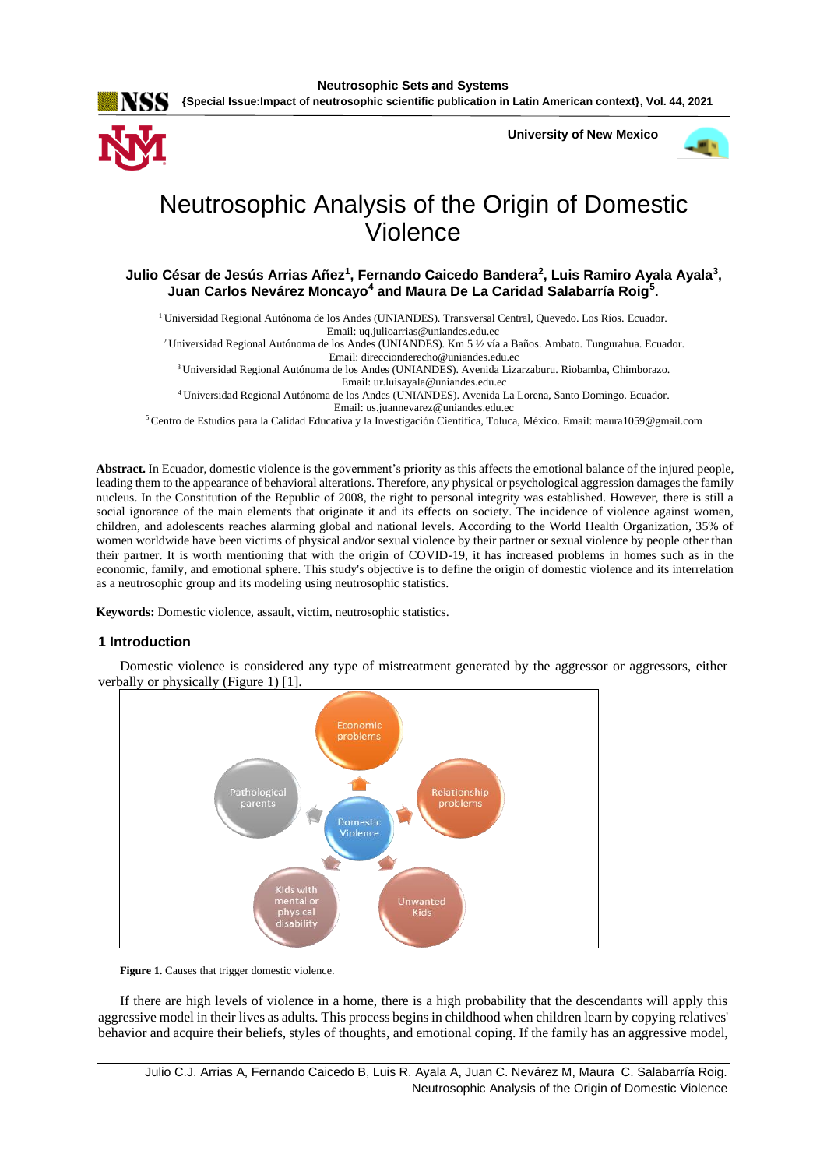

**University of New Mexico**



# Neutrosophic Analysis of the Origin of Domestic Violence

**Julio César de Jesús Arrias Añez<sup>1</sup> , Fernando Caicedo Bandera<sup>2</sup> , Luis Ramiro Ayala Ayala<sup>3</sup> , Juan Carlos Nevárez Moncayo<sup>4</sup> and Maura De La Caridad Salabarría Roig<sup>5</sup> .**

<sup>1</sup> Universidad Regional Autónoma de los Andes (UNIANDES). Transversal Central, Quevedo. Los Ríos. Ecuador.

Email: [uq.julioarrias@uniandes.edu.ec](mailto:uq.julioarrias@uniandes.edu.ec)

<sup>2</sup>Universidad Regional Autónoma de los Andes (UNIANDES). Km 5 ½ vía a Baños. Ambato. Tungurahua. Ecuador. Email: [direccionderecho@uniandes.edu.ec](mailto:direccionderecho@uniandes.edu.ec)

<sup>3</sup>Universidad Regional Autónoma de los Andes (UNIANDES). Avenida Lizarzaburu. Riobamba, Chimborazo. Email: [ur.luisayala@uniandes.edu.ec](mailto:ur.luisayala@uniandes.edu.ec)

<sup>4</sup>Universidad Regional Autónoma de los Andes (UNIANDES). Avenida La Lorena, Santo Domingo. Ecuador. Email: [us.juannevarez@uniandes.edu.ec](mailto:us.juannevarez@uniandes.edu.ec)

<sup>5</sup>Centro de Estudios para la Calidad Educativa y la Investigación Científica, Toluca, México. Email: [maura1059@gmail.com](mailto:maura1059@gmail.com)

**Abstract.** In Ecuador, domestic violence is the government's priority as this affects the emotional balance of the injured people, leading them to the appearance of behavioral alterations. Therefore, any physical or psychological aggression damages the family nucleus. In the Constitution of the Republic of 2008, the right to personal integrity was established. However, there is still a social ignorance of the main elements that originate it and its effects on society. The incidence of violence against women, children, and adolescents reaches alarming global and national levels. According to the World Health Organization, 35% of women worldwide have been victims of physical and/or sexual violence by their partner or sexual violence by people other than their partner. It is worth mentioning that with the origin of COVID-19, it has increased problems in homes such as in the economic, family, and emotional sphere. This study's objective is to define the origin of domestic violence and its interrelation as a neutrosophic group and its modeling using neutrosophic statistics.

**Keywords:** Domestic violence, assault, victim, neutrosophic statistics.

### **1 Introduction**

Domestic violence is considered any type of mistreatment generated by the aggressor or aggressors, either verbally or physically (Figure 1) [\[1\]](#page-7-0).



Figure 1. Causes that trigger domestic violence.

If there are high levels of violence in a home, there is a high probability that the descendants will apply this aggressive model in their lives as adults. This process begins in childhood when children learn by copying relatives' behavior and acquire their beliefs, styles of thoughts, and emotional coping. If the family has an aggressive model,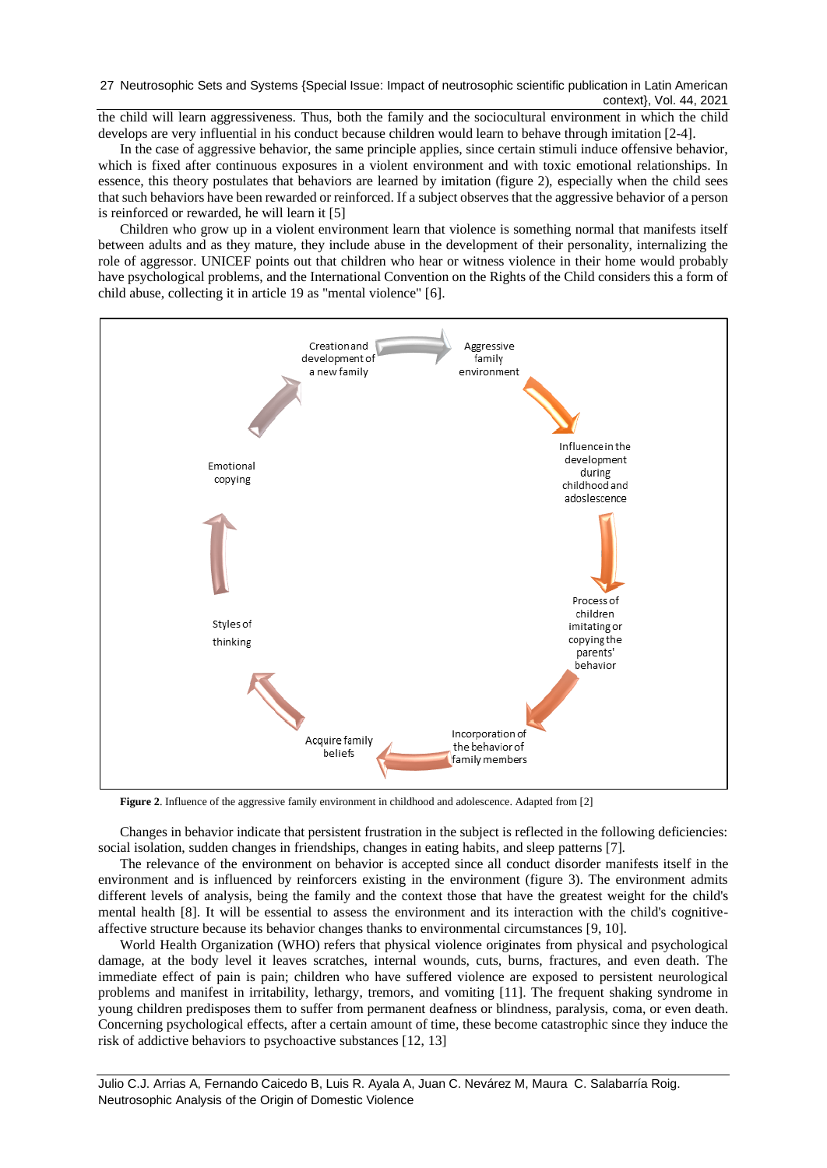the child will learn aggressiveness. Thus, both the family and the sociocultural environment in which the child develops are very influential in his conduct because children would learn to behave through imitation [\[2-4\]](#page-7-1).

In the case of aggressive behavior, the same principle applies, since certain stimuli induce offensive behavior, which is fixed after continuous exposures in a violent environment and with toxic emotional relationships. In essence, this theory postulates that behaviors are learned by imitation (figure 2), especially when the child sees that such behaviors have been rewarded or reinforced. If a subject observes that the aggressive behavior of a person is reinforced or rewarded, he will learn it [\[5\]](#page-7-2)

Children who grow up in a violent environment learn that violence is something normal that manifests itself between adults and as they mature, they include abuse in the development of their personality, internalizing the role of aggressor. UNICEF points out that children who hear or witness violence in their home would probably have psychological problems, and the International Convention on the Rights of the Child considers this a form of child abuse, collecting it in article 19 as "mental violence" [\[6\]](#page-7-3).



**Figure 2**. Influence of the aggressive family environment in childhood and adolescence. Adapted from [\[2\]](#page-7-1)

Changes in behavior indicate that persistent frustration in the subject is reflected in the following deficiencies: social isolation, sudden changes in friendships, changes in eating habits, and sleep patterns [\[7\]](#page-7-4).

The relevance of the environment on behavior is accepted since all conduct disorder manifests itself in the environment and is influenced by reinforcers existing in the environment (figure 3). The environment admits different levels of analysis, being the family and the context those that have the greatest weight for the child's mental health [\[8\]](#page-7-5). It will be essential to assess the environment and its interaction with the child's cognitiveaffective structure because its behavior changes thanks to environmental circumstances [\[9,](#page-7-6) [10\]](#page-7-7).

World Health Organization (WHO) refers that physical violence originates from physical and psychological damage, at the body level it leaves scratches, internal wounds, cuts, burns, fractures, and even death. The immediate effect of pain is pain; children who have suffered violence are exposed to persistent neurological problems and manifest in irritability, lethargy, tremors, and vomiting [\[11\]](#page-7-8). The frequent shaking syndrome in young children predisposes them to suffer from permanent deafness or blindness, paralysis, coma, or even death. Concerning psychological effects, after a certain amount of time, these become catastrophic since they induce the risk of addictive behaviors to psychoactive substances [\[12,](#page-7-9) [13\]](#page-7-10)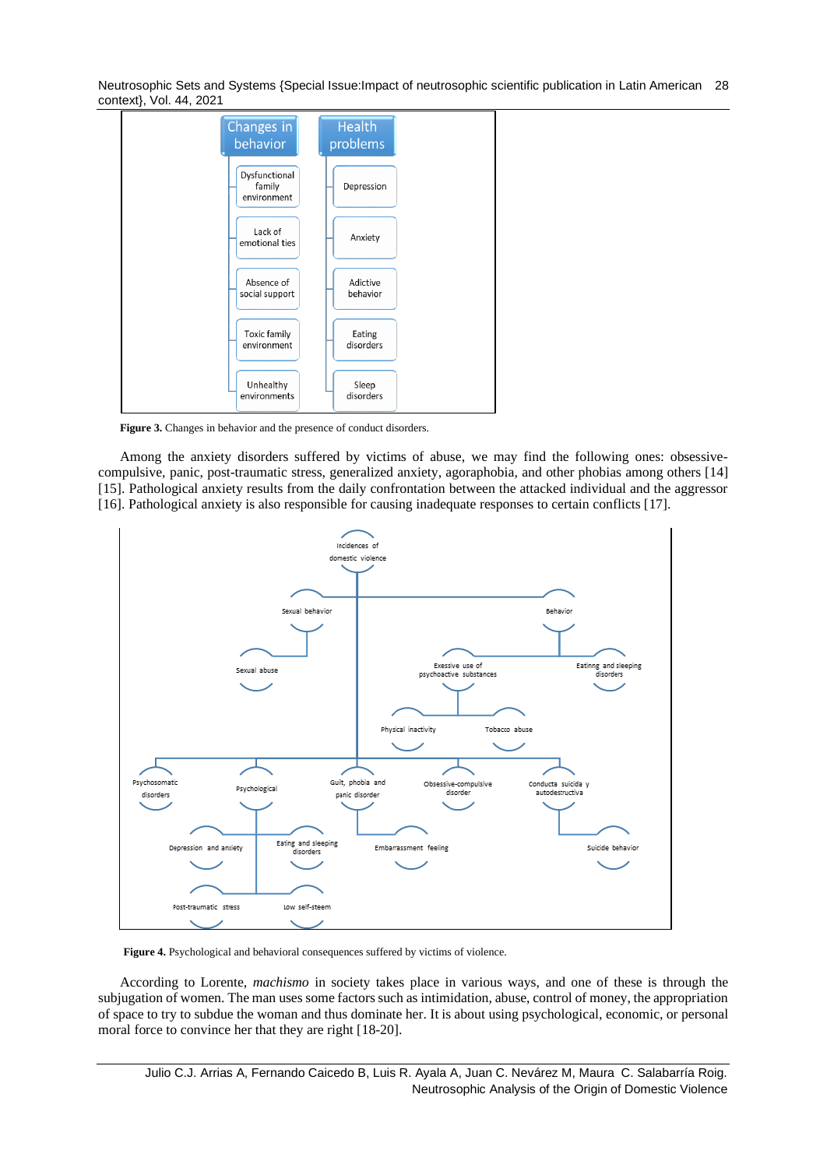

Figure 3. Changes in behavior and the presence of conduct disorders.

Among the anxiety disorders suffered by victims of abuse, we may find the following ones: obsessivecompulsive, panic, post-traumatic stress, generalized anxiety, agoraphobia, and other phobias among others [\[14\]](#page-7-11) [\[15\]](#page-7-12). Pathological anxiety results from the daily confrontation between the attacked individual and the aggressor [\[16\]](#page-7-13). Pathological anxiety is also responsible for causing inadequate responses to certain conflicts [\[17\]](#page-7-14).



**Figure 4.** Psychological and behavioral consequences suffered by victims of violence.

According to Lorente, *machismo* in society takes place in various ways, and one of these is through the subjugation of women. The man uses some factors such as intimidation, abuse, control of money, the appropriation of space to try to subdue the woman and thus dominate her. It is about using psychological, economic, or personal moral force to convince her that they are right [\[18-20\]](#page-7-15).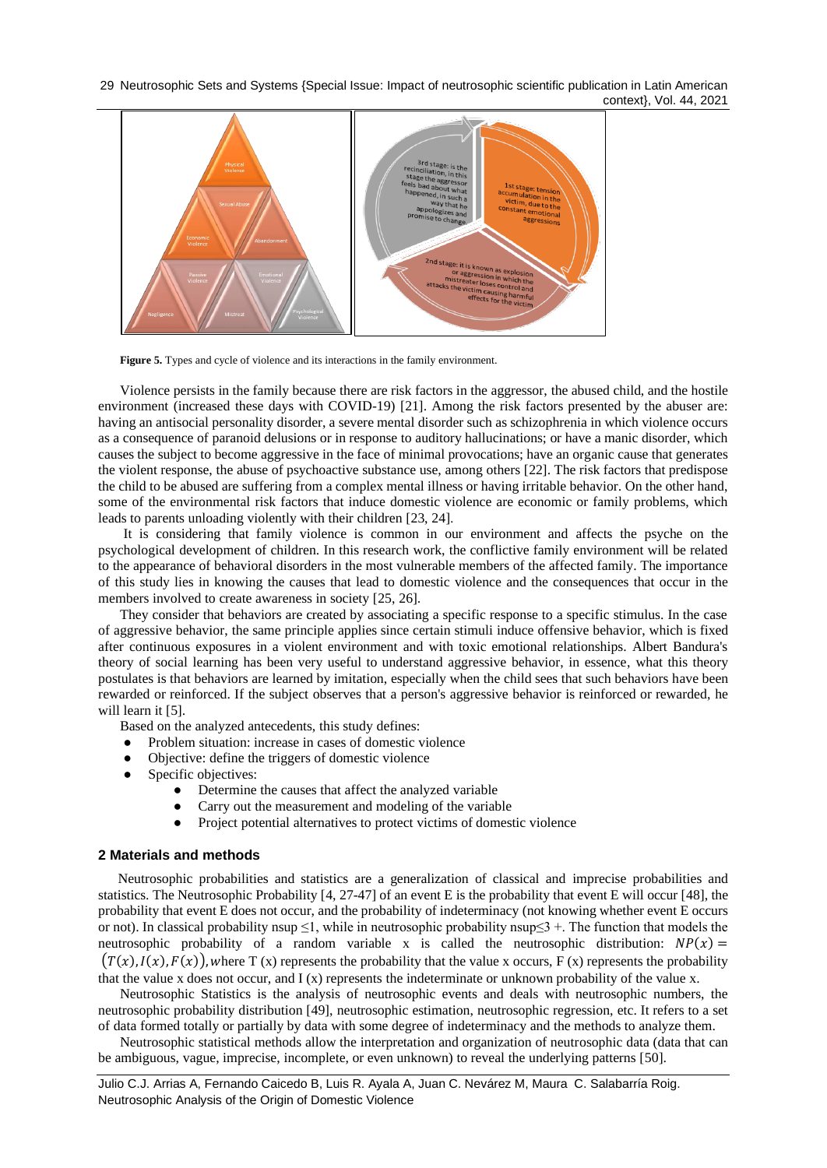

Figure 5. Types and cycle of violence and its interactions in the family environment.

Violence persists in the family because there are risk factors in the aggressor, the abused child, and the hostile environment (increased these days with COVID-19) [\[21\]](#page-7-16). Among the risk factors presented by the abuser are: having an antisocial personality disorder, a severe mental disorder such as schizophrenia in which violence occurs as a consequence of paranoid delusions or in response to auditory hallucinations; or have a manic disorder, which causes the subject to become aggressive in the face of minimal provocations; have an organic cause that generates the violent response, the abuse of psychoactive substance use, among others [\[22\]](#page-7-17). The risk factors that predispose the child to be abused are suffering from a complex mental illness or having irritable behavior. On the other hand, some of the environmental risk factors that induce domestic violence are economic or family problems, which leads to parents unloading violently with their children [\[23,](#page-7-18) [24\]](#page-7-19).

It is considering that family violence is common in our environment and affects the psyche on the psychological development of children. In this research work, the conflictive family environment will be related to the appearance of behavioral disorders in the most vulnerable members of the affected family. The importance of this study lies in knowing the causes that lead to domestic violence and the consequences that occur in the members involved to create awareness in society [\[25,](#page-7-20) [26\]](#page-7-21).

They consider that behaviors are created by associating a specific response to a specific stimulus. In the case of aggressive behavior, the same principle applies since certain stimuli induce offensive behavior, which is fixed after continuous exposures in a violent environment and with toxic emotional relationships. Albert Bandura's theory of social learning has been very useful to understand aggressive behavior, in essence, what this theory postulates is that behaviors are learned by imitation, especially when the child sees that such behaviors have been rewarded or reinforced. If the subject observes that a person's aggressive behavior is reinforced or rewarded, he will learn it [\[5\]](#page-7-2).

Based on the analyzed antecedents, this study defines:

- Problem situation: increase in cases of domestic violence
- Objective: define the triggers of domestic violence
- Specific objectives:
	- Determine the causes that affect the analyzed variable
	- Carry out the measurement and modeling of the variable
	- Project potential alternatives to protect victims of domestic violence

### **2 Materials and methods**

Neutrosophic probabilities and statistics are a generalization of classical and imprecise probabilities and statistics. The Neutrosophic Probability [\[4,](#page-7-22) [27-47\]](#page-7-23) of an event E is the probability that event E will occur [\[48\]](#page-8-0), the probability that event E does not occur, and the probability of indeterminacy (not knowing whether event E occurs or not). In classical probability nsup  $\leq$ 1, while in neutrosophic probability nsup $\leq$ 3 +. The function that models the neutrosophic probability of a random variable x is called the neutrosophic distribution:  $NP(x) =$  $(T(x),I(x),F(x))$ , where T (x) represents the probability that the value x occurs, F (x) represents the probability that the value x does not occur, and I (x) represents the indeterminate or unknown probability of the value x.

Neutrosophic Statistics is the analysis of neutrosophic events and deals with neutrosophic numbers, the neutrosophic probability distribution [\[49\]](#page-8-1), neutrosophic estimation, neutrosophic regression, etc. It refers to a set of data formed totally or partially by data with some degree of indeterminacy and the methods to analyze them.

Neutrosophic statistical methods allow the interpretation and organization of neutrosophic data (data that can be ambiguous, vague, imprecise, incomplete, or even unknown) to reveal the underlying patterns [\[50\]](#page-8-2).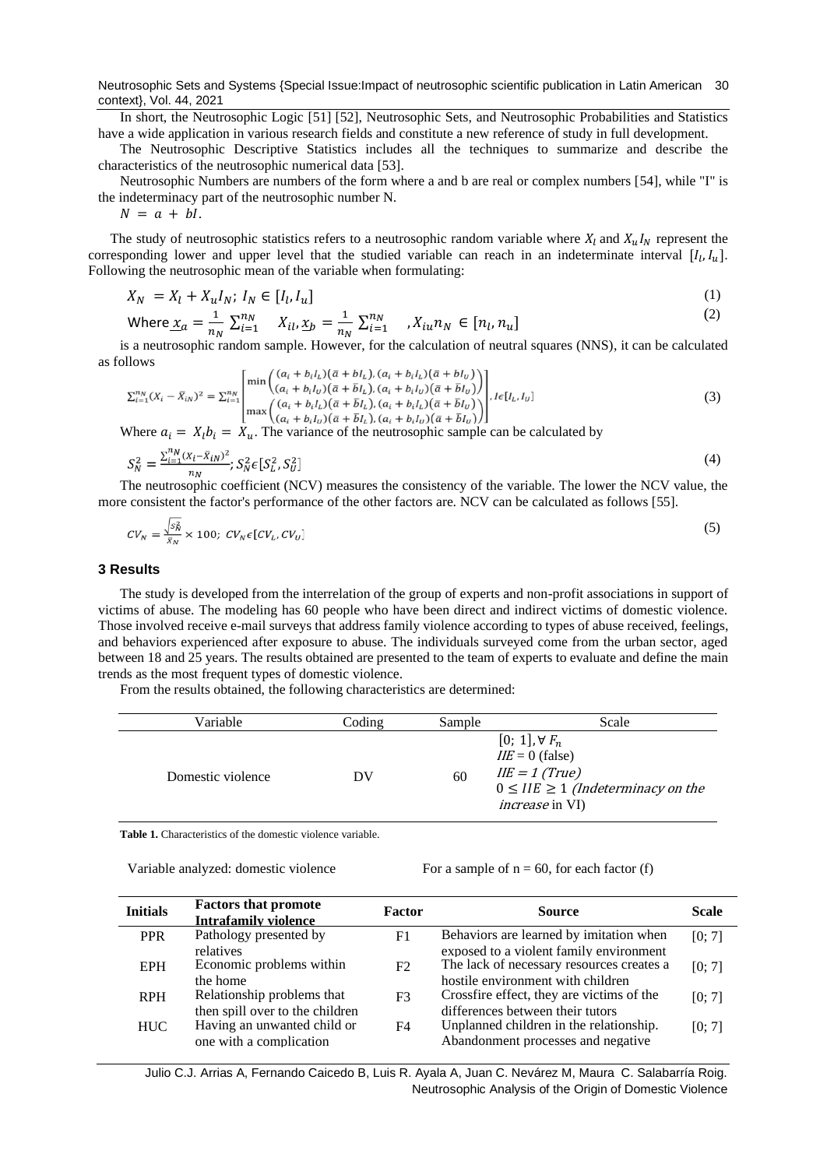In short, the Neutrosophic Logic [\[51\]](#page-8-3) [\[52\]](#page-8-4), Neutrosophic Sets, and Neutrosophic Probabilities and Statistics have a wide application in various research fields and constitute a new reference of study in full development.

The Neutrosophic Descriptive Statistics includes all the techniques to summarize and describe the characteristics of the neutrosophic numerical data [\[53\]](#page-8-5).

Neutrosophic Numbers are numbers of the form where a and b are real or complex numbers [\[54\]](#page-8-6), while "I" is the indeterminacy part of the neutrosophic number N.

 $N = a + bl.$ 

The study of neutrosophic statistics refers to a neutrosophic random variable where  $X_l$  and  $X_uI_N$  represent the corresponding lower and upper level that the studied variable can reach in an indeterminate interval  $[I_l, I_u]$ . Following the neutrosophic mean of the variable when formulating:

$$
X_N = X_l + X_u I_N; I_N \in [I_l, I_u]
$$
\n
$$
(1)
$$

Where 
$$
\underline{x}_a = \frac{1}{n_N} \sum_{i=1}^{n_N} X_{il}, \underline{x}_b = \frac{1}{n_N} \sum_{i=1}^{n_N} X_{iu} n_N \in [n_l, n_u]
$$
 (2)

is a neutrosophic random sample. However, for the calculation of neutral squares (NNS), it can be calculated as follows  $((a + h) \sqrt{a + h}) (a + h) \sqrt{a + h}$ 

$$
\sum_{i=1}^{n_N} (X_i - \bar{X}_{iN})^2 = \sum_{i=1}^{n_N} \begin{bmatrix} \min\left( \frac{(a_i + b_i I_L)(a + b I_L), (a_i + b_i I_L)(a + b I_U)}{(a_i + b_i I_U)(\bar{a} + \bar{b} I_L), (a_i + b_i I_U)(\bar{a} + \bar{b} I_U)} \right) \\ \max\left( \frac{(a_i + b_i I_L)(\bar{a} + \bar{b} I_L), (a_i + b_i I_L)(\bar{a} + \bar{b} I_U)}{(a_i + b_i I_U)(\bar{a} + \bar{b} I_L), (a_i + b_i I_U)(\bar{a} + \bar{b} I_U)} \right) \end{bmatrix}, l \in [I_L, I_U]
$$
\n(3)

Where  $a_i = X_i b_i = X_u$ . The variance of the neutrosophic sample can be calculated by

$$
S_N^2 = \frac{\sum_{i=1}^{n_N} (x_i - \bar{x}_{iN})^2}{n_N}; S_N^2 \in [S_L^2, S_U^2]
$$
\n<sup>(4)</sup>

The neutrosophic coefficient (NCV) measures the consistency of the variable. The lower the NCV value, the more consistent the factor's performance of the other factors are. NCV can be calculated as follows [\[55\]](#page-8-7).

$$
CV_N = \frac{\sqrt{s_N^2}}{\bar{x}_N} \times 100; CV_N \epsilon [CV_L, CV_U]
$$
\n
$$
(5)
$$

#### **3 Results**

The study is developed from the interrelation of the group of experts and non-profit associations in support of victims of abuse. The modeling has 60 people who have been direct and indirect victims of domestic violence. Those involved receive e-mail surveys that address family violence according to types of abuse received, feelings, and behaviors experienced after exposure to abuse. The individuals surveyed come from the urban sector, aged between 18 and 25 years. The results obtained are presented to the team of experts to evaluate and define the main trends as the most frequent types of domestic violence.

From the results obtained, the following characteristics are determined:

| Variable          | Coding | Sample | Scale                                                                                                                                     |
|-------------------|--------|--------|-------------------------------------------------------------------------------------------------------------------------------------------|
| Domestic violence | DV     | 60     | $[0; 1], \forall F_n$<br>$I\ell E = 0$ (false)<br>$IIE = 1$ (True)<br>$0 \leq IIE \geq 1$ (Indeterminacy on the<br><i>increase</i> in VI) |

**Table 1.** Characteristics of the domestic violence variable.

Variable analyzed: domestic violence For a sample of  $n = 60$ , for each factor (f)

| <b>Initials</b> | <b>Factors that promote</b><br><b>Intrafamily violence</b> | Factor | <b>Source</b>                             | <b>Scale</b> |
|-----------------|------------------------------------------------------------|--------|-------------------------------------------|--------------|
| <b>PPR</b>      | Pathology presented by                                     | F1     | Behaviors are learned by imitation when   | [0; 7]       |
|                 | relatives                                                  |        | exposed to a violent family environment   |              |
| <b>EPH</b>      | Economic problems within                                   | F2     | The lack of necessary resources creates a | [0; 7]       |
|                 | the home                                                   |        | hostile environment with children         |              |
| <b>RPH</b>      | Relationship problems that                                 | F3     | Crossfire effect, they are victims of the | [0; 7]       |
|                 | then spill over to the children                            |        | differences between their tutors          |              |
| <b>HUC</b>      | Having an unwanted child or                                | F4     | Unplanned children in the relationship.   | [0; 7]       |
|                 | one with a complication                                    |        | Abandonment processes and negative        |              |

Julio C.J. Arrias A, Fernando Caicedo B, Luis R. Ayala A, Juan C. Nevárez M, Maura C. Salabarría Roig. Neutrosophic Analysis of the Origin of Domestic Violence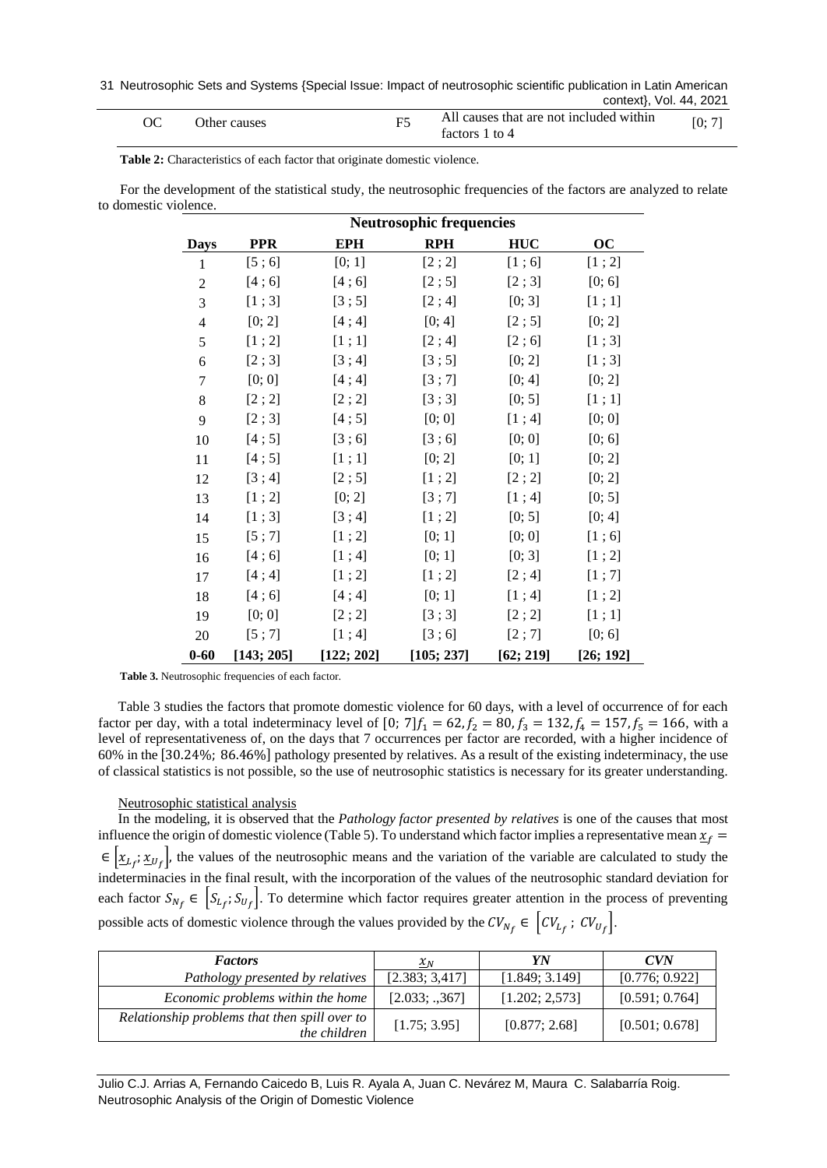| Other causes | All causes that are not included within<br>factors 1 to 4 | [0:7] |
|--------------|-----------------------------------------------------------|-------|
|              |                                                           |       |

**Table 2:** Characteristics of each factor that originate domestic violence.

For the development of the statistical study, the neutrosophic frequencies of the factors are analyzed to relate to domestic violence.

|                          | <b>Neutrosophic frequencies</b> |            |            |            |                 |
|--------------------------|---------------------------------|------------|------------|------------|-----------------|
| <b>Days</b>              | <b>PPR</b>                      | <b>EPH</b> | <b>RPH</b> | <b>HUC</b> | $\overline{OC}$ |
| $\mathbf{1}$             | [5; 6]                          | [0; 1]     | [2; 2]     | [1;6]      | [1; 2]          |
| $\overline{2}$           | [4;6]                           | [4;6]      | [2;5]      | [2;3]      | [0; 6]          |
| 3                        | [1;3]                           | [3;5]      | [2; 4]     | [0; 3]     | [1;1]           |
| $\overline{\mathcal{L}}$ | [0; 2]                          | [4; 4]     | [0; 4]     | [2;5]      | [0; 2]          |
| 5                        | [1; 2]                          | [1;1]      | [2; 4]     | [2;6]      | [1;3]           |
| 6                        | [2;3]                           | [3; 4]     | [3;5]      | [0; 2]     | [1;3]           |
| $\tau$                   | [0; 0]                          | [4; 4]     | [3;7]      | [0; 4]     | [0; 2]          |
| 8                        | [2; 2]                          | [2; 2]     | [3;3]      | [0; 5]     | [1;1]           |
| 9                        | [2;3]                           | [4;5]      | [0; 0]     | [1; 4]     | [0; 0]          |
| 10                       | [4;5]                           | [3;6]      | [3;6]      | [0; 0]     | [0; 6]          |
| 11                       | [4;5]                           | [1;1]      | [0; 2]     | [0; 1]     | [0; 2]          |
| 12                       | [3; 4]                          | [2;5]      | [1; 2]     | [2; 2]     | [0; 2]          |
| 13                       | [1; 2]                          | [0; 2]     | [3;7]      | [1; 4]     | [0; 5]          |
| 14                       | [1;3]                           | [3; 4]     | [1; 2]     | [0; 5]     | [0; 4]          |
| 15                       | [5; 7]                          | [1; 2]     | [0; 1]     | [0; 0]     | [1;6]           |
| 16                       | [4;6]                           | [1; 4]     | [0; 1]     | [0; 3]     | [1; 2]          |
| 17                       | [4; 4]                          | [1; 2]     | [1; 2]     | [2; 4]     | [1; 7]          |
| 18                       | [4;6]                           | [4; 4]     | [0; 1]     | [1; 4]     | [1; 2]          |
| 19                       | [0; 0]                          | [2; 2]     | [3;3]      | [2; 2]     | [1;1]           |
| 20                       | [5;7]                           | [1; 4]     | [3;6]      | [2;7]      | [0; 6]          |
| $0 - 60$                 | [143; 205]                      | [122; 202] | [105; 237] | [62; 219]  | [26; 192]       |

**Table 3.** Neutrosophic frequencies of each factor.

Table 3 studies the factors that promote domestic violence for 60 days, with a level of occurrence of for each factor per day, with a total indeterminacy level of [0; 7] $f_1 = 62$ ,  $f_2 = 80$ ,  $f_3 = 132$ ,  $f_4 = 157$ ,  $f_5 = 166$ , with a level of representativeness of, on the days that 7 occurrences per factor are recorded, with a higher incidence of 60% in the [30.24%; 86.46%] pathology presented by relatives. As a result of the existing indeterminacy, the use of classical statistics is not possible, so the use of neutrosophic statistics is necessary for its greater understanding.

#### Neutrosophic statistical analysis

In the modeling, it is observed that the *Pathology factor presented by relatives* is one of the causes that most influence the origin of domestic violence (Table 5). To understand which factor implies a representative mean  $x_f$  $\epsilon \left[ \underline{x}_{L_f}; \underline{x}_{U_f} \right]$ , the values of the neutrosophic means and the variation of the variable are calculated to study the indeterminacies in the final result, with the incorporation of the values of the neutrosophic standard deviation for each factor  $S_{N_f} \in \left[S_{L_f}; S_{U_f}\right]$ . To determine which factor requires greater attention in the process of preventing possible acts of domestic violence through the values provided by the  $CV_{N_f} \in \left[ CV_{L_f} : CV_{U_f} \right]$ .

| <b>Factors</b>                                                       | $x_N$          | YN             | CVN            |
|----------------------------------------------------------------------|----------------|----------------|----------------|
| Pathology presented by relatives                                     | [2.383; 3.417] | [1.849; 3.149] | [0.776; 0.922] |
| Economic problems within the home                                    | [2.033; .367]  | [1.202; 2.573] | [0.591; 0.764] |
| Relationship problems that then spill over to<br><i>the children</i> | [1.75; 3.95]   | [0.877; 2.68]  | [0.501; 0.678] |

Julio C.J. Arrias A, Fernando Caicedo B, Luis R. Ayala A, Juan C. Nevárez M, Maura C. Salabarría Roig. Neutrosophic Analysis of the Origin of Domestic Violence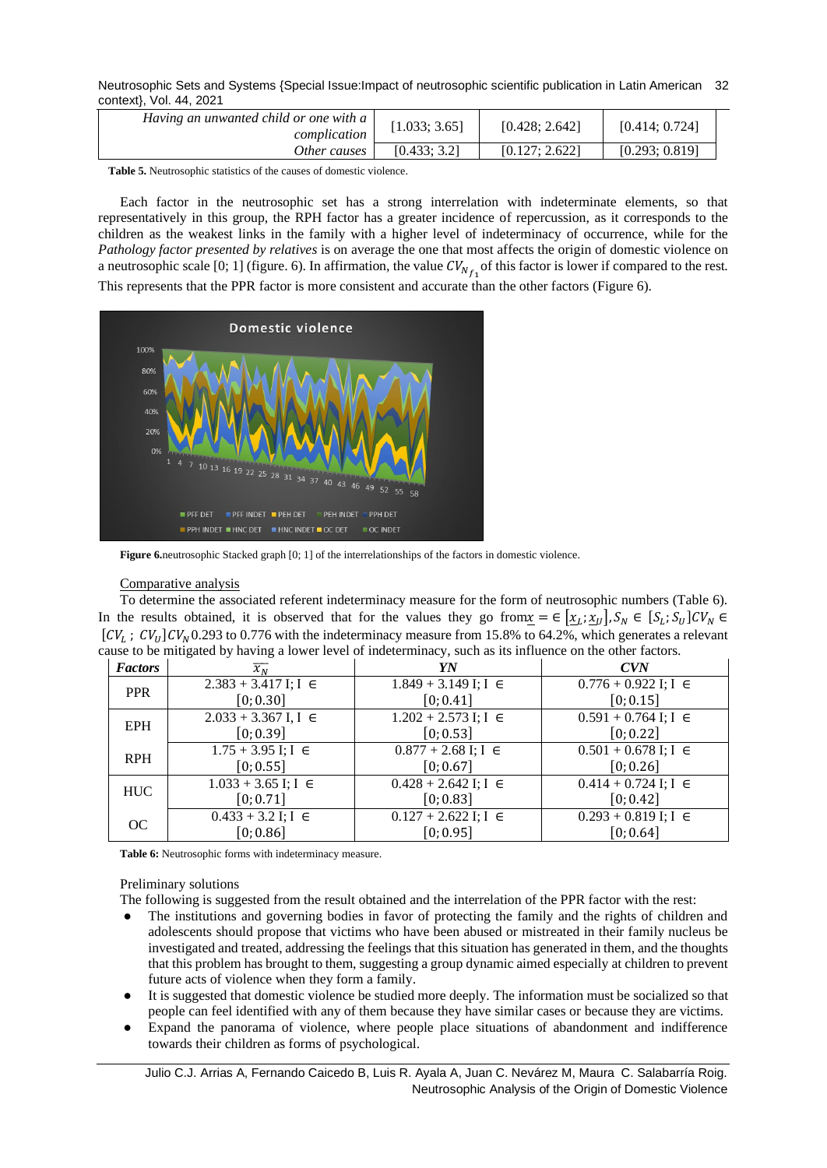| Having an unwanted child or one with $a \mid$<br>complication | [1.033; 3.65] | [0.428; 2.642] | [0.414; 0.724] |
|---------------------------------------------------------------|---------------|----------------|----------------|
| Other causes                                                  | [0.433:3.2]   | [0.127: 2.622] | [0.293; 0.819] |

**Table 5.** Neutrosophic statistics of the causes of domestic violence.

Each factor in the neutrosophic set has a strong interrelation with indeterminate elements, so that representatively in this group, the RPH factor has a greater incidence of repercussion, as it corresponds to the children as the weakest links in the family with a higher level of indeterminacy of occurrence, while for the *Pathology factor presented by relatives* is on average the one that most affects the origin of domestic violence on a neutrosophic scale [0; 1] (figure. 6). In affirmation, the value  $CV_{N_{f_1}}$  of this factor is lower if compared to the rest. This represents that the PPR factor is more consistent and accurate than the other factors (Figure 6).



**Figure 6.**neutrosophic Stacked graph [0; 1] of the interrelationships of the factors in domestic violence.

## Comparative analysis

To determine the associated referent indeterminacy measure for the form of neutrosophic numbers (Table 6). In the results obtained, it is observed that for the values they go from  $\underline{x} = \in [\underline{x_L}; \underline{x_U}]$ ,  $S_N \in [S_L; S_U]$ CV<sub>N</sub>  $\in$  $[CV_L; CV_U]CV_N$ 0.293 to 0.776 with the indeterminacy measure from 15.8% to 64.2%, which generates a relevant cause to be mitigated by having a lower level of indeterminacy, such as its influence on the other factors.

| <b>Factors</b> | $\overline{\chi_{N}}$      | YN                         | CVN                        |
|----------------|----------------------------|----------------------------|----------------------------|
| <b>PPR</b>     | $2.383 + 3.417$ I; I $\in$ | $1.849 + 3.149$ I; I $\in$ | $0.776 + 0.922$ I; I $\in$ |
|                | [0; 0.30]                  | [0; 0.41]                  | [0; 0.15]                  |
| <b>EPH</b>     | $2.033 + 3.367$ I, I $\in$ | $1.202 + 2.573$ I; I $\in$ | $0.591 + 0.764$ I; I $\in$ |
|                | [0; 0.39]                  | [0; 0.53]                  | [0; 0.22]                  |
| <b>RPH</b>     | $1.75 + 3.95$ I; I $\in$   | $0.877 + 2.68$ I; I $\in$  | $0.501 + 0.678$ I; I $\in$ |
|                | [0; 0.55]                  | [0; 0.67]                  | [0; 0.26]                  |
| <b>HUC</b>     | $1.033 + 3.65$ I; I $\in$  | $0.428 + 2.642$ I; I $\in$ | $0.414 + 0.724$ I; I $\in$ |
|                | [0; 0.71]                  | [0; 0.83]                  | [0; 0.42]                  |
| OC             | $0.433 + 3.2$ I; I $\in$   | $0.127 + 2.622$ I; I $\in$ | $0.293 + 0.819$ I; I $\in$ |
|                | [0; 0.86]                  | [0; 0.95]                  | [0; 0.64]                  |

**Table 6:** Neutrosophic forms with indeterminacy measure.

### Preliminary solutions

The following is suggested from the result obtained and the interrelation of the PPR factor with the rest:

- The institutions and governing bodies in favor of protecting the family and the rights of children and adolescents should propose that victims who have been abused or mistreated in their family nucleus be investigated and treated, addressing the feelings that this situation has generated in them, and the thoughts that this problem has brought to them, suggesting a group dynamic aimed especially at children to prevent future acts of violence when they form a family.
- It is suggested that domestic violence be studied more deeply. The information must be socialized so that people can feel identified with any of them because they have similar cases or because they are victims.
- Expand the panorama of violence, where people place situations of abandonment and indifference towards their children as forms of psychological.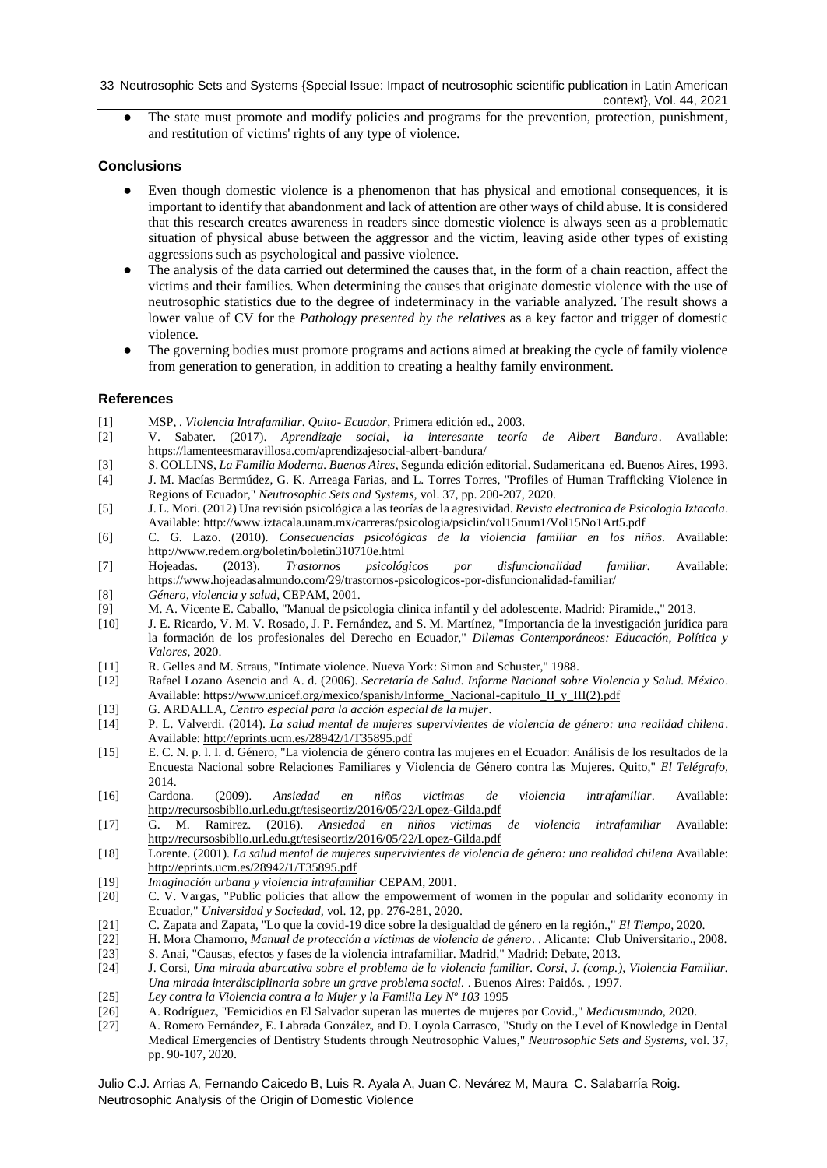The state must promote and modify policies and programs for the prevention, protection, punishment, and restitution of victims' rights of any type of violence.

# **Conclusions**

- Even though domestic violence is a phenomenon that has physical and emotional consequences, it is important to identify that abandonment and lack of attention are other ways of child abuse. It is considered that this research creates awareness in readers since domestic violence is always seen as a problematic situation of physical abuse between the aggressor and the victim, leaving aside other types of existing aggressions such as psychological and passive violence.
- The analysis of the data carried out determined the causes that, in the form of a chain reaction, affect the victims and their families. When determining the causes that originate domestic violence with the use of neutrosophic statistics due to the degree of indeterminacy in the variable analyzed. The result shows a lower value of CV for the *Pathology presented by the relatives* as a key factor and trigger of domestic violence.
- The governing bodies must promote programs and actions aimed at breaking the cycle of family violence from generation to generation, in addition to creating a healthy family environment.

# **References**

- <span id="page-7-0"></span>[1] MSP, *. Violencia Intrafamiliar. Quito- Ecuador*, Primera edición ed., 2003.
- <span id="page-7-1"></span>[2] V. Sabater. (2017). *Aprendizaje social, la interesante teoría de Albert Bandura*. Available: https://lamenteesmaravillosa.com/aprendizajesocial-albert-bandura/
- [3] S. COLLINS, *La Familia Moderna. Buenos Aires*, Segunda edición editorial. Sudamericana ed. Buenos Aires, 1993.
- <span id="page-7-22"></span>[4] J. M. Macías Bermúdez, G. K. Arreaga Farias, and L. Torres Torres, "Profiles of Human Trafficking Violence in Regions of Ecuador," *Neutrosophic Sets and Systems,* vol. 37, pp. 200-207, 2020.
- <span id="page-7-2"></span>[5] J. L. Mori. (2012) Una revisión psicológica a las teorías de la agresividad. *Revista electronica de Psicologia Iztacala*. Available[: http://www.iztacala.unam.mx/carreras/psicologia/psiclin/vol15num1/Vol15No1Art5.pdf](http://www.iztacala.unam.mx/carreras/psicologia/psiclin/vol15num1/Vol15No1Art5.pdf)
- <span id="page-7-3"></span>[6] C. G. Lazo. (2010). *Consecuencias psicológicas de la violencia familiar en los niños.* Available: <http://www.redem.org/boletin/boletin310710e.html>
- <span id="page-7-4"></span>[7] Hojeadas. (2013). *Trastornos psicológicos por disfuncionalidad familiar.* Available: https:/[/www.hojeadasalmundo.com/29/trastornos-psicologicos-por-disfuncionalidad-familiar/](http://www.hojeadasalmundo.com/29/trastornos-psicologicos-por-disfuncionalidad-familiar/)
- <span id="page-7-5"></span>[8] *Género, violencia y salud,* CEPAM, 2001.
- <span id="page-7-6"></span>[9] M. A. Vicente E. Caballo, "Manual de psicologia clinica infantil y del adolescente. Madrid: Piramide.," 2013.
- <span id="page-7-7"></span>[10] J. E. Ricardo, V. M. V. Rosado, J. P. Fernández, and S. M. Martínez, "Importancia de la investigación jurídica para la formación de los profesionales del Derecho en Ecuador," *Dilemas Contemporáneos: Educación, Política y Valores,* 2020.
- <span id="page-7-8"></span>[11] R. Gelles and M. Straus, "Intimate violence. Nueva York: Simon and Schuster," 1988.
- <span id="page-7-9"></span>[12] Rafael Lozano Asencio and A. d. (2006). *Secretaría de Salud. Informe Nacional sobre Violencia y Salud. México*. Available: https:[//www.unicef.org/mexico/spanish/Informe\\_Nacional-capitulo\\_II\\_y\\_III\(2\).pdf](http://www.unicef.org/mexico/spanish/Informe_Nacional-capitulo_II_y_III(2).pdf)
- <span id="page-7-10"></span>[13] G. ARDALLA, *Centro especial para la acción especial de la mujer*.
- <span id="page-7-11"></span>[14] P. L. Valverdi. (2014). *La salud mental de mujeres supervivientes de violencia de género: una realidad chilena*. Available[: http://eprints.ucm.es/28942/1/T35895.pdf](http://eprints.ucm.es/28942/1/T35895.pdf)
- <span id="page-7-12"></span>[15] E. C. N. p. l. I. d. Género, "La violencia de género contra las mujeres en el Ecuador: Análisis de los resultados de la Encuesta Nacional sobre Relaciones Familiares y Violencia de Género contra las Mujeres. Quito," *El Telégrafo,*  2014.
- <span id="page-7-13"></span>[16] Cardona. (2009). *Ansiedad en niños victimas de violencia intrafamiliar*. Available: <http://recursosbiblio.url.edu.gt/tesiseortiz/2016/05/22/Lopez-Gilda.pdf>
- <span id="page-7-14"></span>[17] G. M. Ramirez. (2016). *Ansiedad en niños victimas de violencia intrafamiliar* Available: <http://recursosbiblio.url.edu.gt/tesiseortiz/2016/05/22/Lopez-Gilda.pdf>
- <span id="page-7-15"></span>[18] Lorente. (2001). *La salud mental de mujeres supervivientes de violencia de género: una realidad chilena* Available: <http://eprints.ucm.es/28942/1/T35895.pdf>
- [19] *Imaginación urbana y violencia intrafamiliar* CEPAM, 2001.
- [20] C. V. Vargas, "Public policies that allow the empowerment of women in the popular and solidarity economy in Ecuador," *Universidad y Sociedad,* vol. 12, pp. 276-281, 2020.
- <span id="page-7-16"></span>[21] C. Zapata and Zapata, "Lo que la covid-19 dice sobre la desigualdad de género en la región.," *El Tiempo,* 2020.
- <span id="page-7-17"></span>[22] H. Mora Chamorro, *Manual de protección a víctimas de violencia de género*. . Alicante: Club Universitario., 2008.
- <span id="page-7-18"></span>[23] S. Anai, "Causas, efectos y fases de la violencia intrafamiliar. Madrid," Madrid: Debate, 2013. [24] J. Corsi, *Una mirada abarcativa sobre el problema de la violencia familiar. Corsi, J. (comp.), Violencia Familiar.*
- <span id="page-7-19"></span>*Una mirada interdisciplinaria sobre un grave problema social.* . Buenos Aires: Paidós. , 1997.
- <span id="page-7-20"></span>[25] *Ley contra la Violencia contra a la Mujer y la Familia Ley Nº 103* 1995
- <span id="page-7-21"></span>[26] A. Rodríguez, "Femicidios en El Salvador superan las muertes de mujeres por Covid.," *Medicusmundo,* 2020.
- <span id="page-7-23"></span>[27] A. Romero Fernández, E. Labrada González, and D. Loyola Carrasco, "Study on the Level of Knowledge in Dental Medical Emergencies of Dentistry Students through Neutrosophic Values," *Neutrosophic Sets and Systems,* vol. 37, pp. 90-107, 2020.